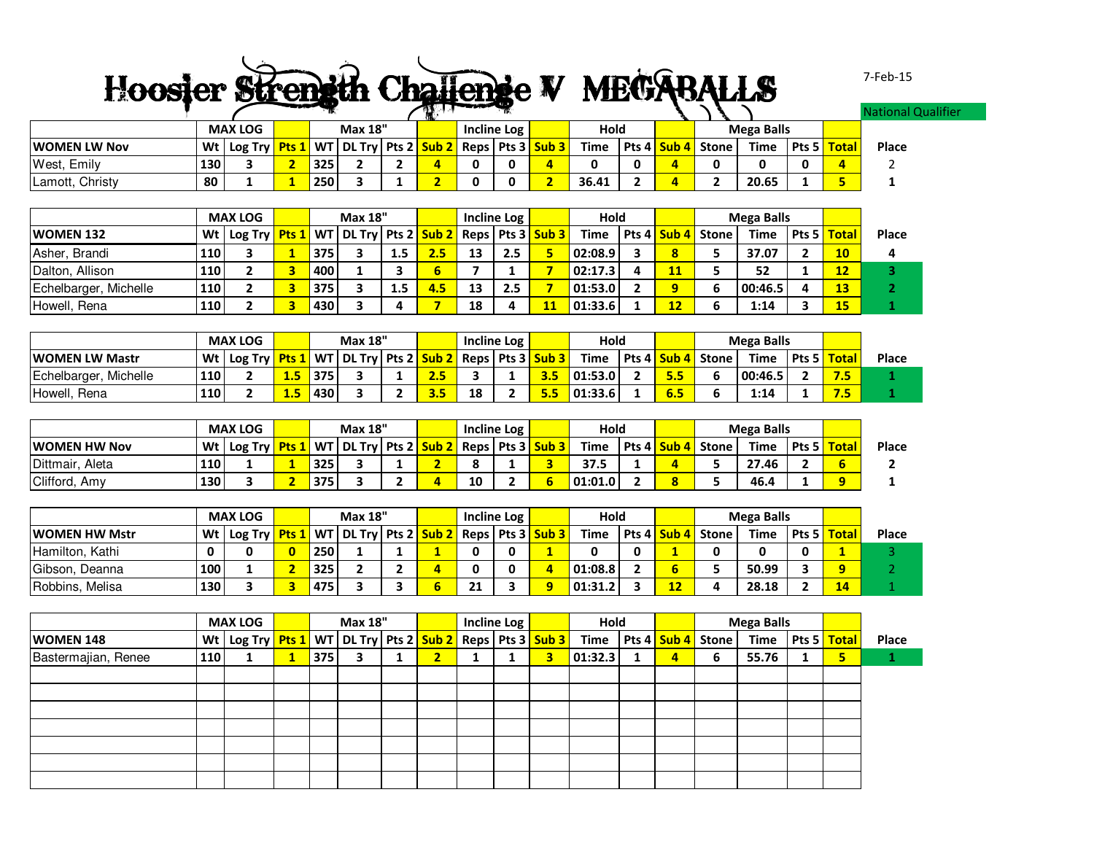## Hoosier Strength Challenge V MEGABALLS

7-Feb-15

er

|                 |     |                      |     |                | - 1999. | ------ |                    |       |             |              |                   |               | ational Quali |
|-----------------|-----|----------------------|-----|----------------|---------|--------|--------------------|-------|-------------|--------------|-------------------|---------------|---------------|
|                 |     | <b>MAX LOG</b>       |     | <b>Max 18"</b> |         |        | <b>Incline Log</b> | Hold  |             |              | <b>Mega Balls</b> |               |               |
| WOMEN LW Nov    |     | Wt   Log Try   Pts 1 |     |                |         |        |                    | Time  | Pts 4 Sub 4 | <b>Stone</b> | <b>Time</b>       | Pts 5   Total | Place         |
| West, Emily     | 130 |                      | 325 |                |         |        |                    |       |             |              |                   | z.            |               |
| Lamott, Christy | 80  |                      | 250 |                |         |        |                    | 36.41 |             |              | 20.65             |               |               |

|                       |     | <b>MAX LOG</b><br>Wt   Log Try   Pts 1   WT   DL Try   Pts 2   Sub 2   Reps   Pts 3   Sub 3 |  |     | <b>Max 18"</b> |                  |     |    | Incline Log | Hold    |    |                          | <b>Mega Balls</b> |               |           |       |
|-----------------------|-----|---------------------------------------------------------------------------------------------|--|-----|----------------|------------------|-----|----|-------------|---------|----|--------------------------|-------------------|---------------|-----------|-------|
| <b>WOMEN 132</b>      |     |                                                                                             |  |     |                |                  |     |    |             | Time    |    | Pts 4 <b>Sub 4</b> Stone | <b>Time</b>       | Pts 5   Total |           | Place |
| Asher, Brandi         | 110 |                                                                                             |  | 375 |                | 1.5 <sub>1</sub> | 2.5 | 13 | 2.5         | 02:08.9 |    |                          | 37.07             |               | <b>10</b> |       |
| Dalton, Allison       | 110 |                                                                                             |  | 400 |                |                  |     |    |             | 02:17.3 | 11 |                          | 52                |               | 12        |       |
| Echelbarger, Michelle | 110 |                                                                                             |  | 375 |                | $1.5\,$          | 4.5 | 13 | 2.5         | 01:53.0 |    |                          | 00:46.5           |               | 13        |       |
| Howell, Rena          | 110 |                                                                                             |  | 430 |                |                  |     | 18 |             | 01:33.6 | 12 |                          | 1:14              |               | 15        |       |

|                            |     | <b>MAX LOG</b><br>  Log Try <mark>  Pts 1  </mark> WT   DL Try   Pts 2 <mark>  Sub 2  </mark> Reps   Pts 3 <mark>  Sub 3  </mark> |                |     | <b>Max 18"</b> |     |    | Incline Log | Hold    |             |       | <b>Mega Balls</b> |                            |            |       |
|----------------------------|-----|-----------------------------------------------------------------------------------------------------------------------------------|----------------|-----|----------------|-----|----|-------------|---------|-------------|-------|-------------------|----------------------------|------------|-------|
| <b>IWOMEN LW Mastr</b>     | Wt∣ |                                                                                                                                   |                |     |                |     |    |             | Time    | Pts 4 Sub 4 | Stone | Time              | Pts 5 <mark>  Total</mark> |            | Place |
| . Michelle<br>Echelbarger, | 110 |                                                                                                                                   | $4.5^{\prime}$ | 375 |                | 2.5 |    |             | 01:53.0 |             |       | 00:46.5           |                            | 7.5        |       |
| Howell, Rena               | 110 |                                                                                                                                   | 1.5            | 430 |                |     | 18 |             | 01:33.6 | 6.5         |       | 1:14              |                            | - -<br>7.3 |       |

|                     |     | <b>MAX LOG</b><br>  Log Try <mark>  Pts 1  </mark> WT   DL Try   Pts 2 <mark>  Sub 2  </mark> Reps   Pts 3 <mark>  Sub 3  </mark> |  |     | <b>Max 18"</b> |  |    | Incline Log | Hold    |  |                                    | <b>Mega Balls</b> |       |              |       |
|---------------------|-----|-----------------------------------------------------------------------------------------------------------------------------------|--|-----|----------------|--|----|-------------|---------|--|------------------------------------|-------------------|-------|--------------|-------|
| <b>WOMEN HW Nov</b> | Wt  |                                                                                                                                   |  |     |                |  |    |             | Time    |  | Pts 4 <mark>  Sub 4  </mark> Stone | Time              | Pts 5 | <b>Total</b> | Place |
| Dittmair.<br>Aleta  | 110 |                                                                                                                                   |  | 325 |                |  |    |             | 37.5    |  |                                    | 27.46             |       |              |       |
| Clifford, Amy       | 130 |                                                                                                                                   |  | 375 |                |  | 10 |             | 01:01.0 |  |                                    | 46.4              |       |              |       |

|                       |     | <b>MAX LOG</b><br>  Wt   Log Try <mark>  Pts 1  </mark> WT   DL Try   Pts 2 <mark>  Sub 2  </mark> Reps   Pts 3 <mark>  Sub 3  </mark> |  |     | <b>Max 18"</b> |  |    | <b>Incline Log</b> | Hold    |    |                                    | Mega Balls |                            |              |
|-----------------------|-----|----------------------------------------------------------------------------------------------------------------------------------------|--|-----|----------------|--|----|--------------------|---------|----|------------------------------------|------------|----------------------------|--------------|
| <b>IWOMEN HW Mstr</b> |     |                                                                                                                                        |  |     |                |  |    |                    | Time    |    | Pts 4 <mark>  Sub 4  </mark> Stone | Time       | Pts 5 <mark>  Total</mark> | <b>Place</b> |
| Hamilton, Kathi       |     |                                                                                                                                        |  | 250 |                |  |    | 0                  |         |    |                                    |            |                            |              |
| Gibson, Deanna        | 100 |                                                                                                                                        |  | 325 |                |  |    |                    | 01:08.8 |    |                                    | 50.99      |                            |              |
| Robbins, Melisa       | 130 |                                                                                                                                        |  | 475 |                |  | 21 |                    | 01:31.2 | 12 |                                    | 28.18      | 14                         |              |

|                     |     | <b>MAX LOG</b><br>Wt   Log Try   Pts 1   WT   DL Try   Pts 2   Sub 2   Reps   Pts 3   Sub 3 |  |     | <b>Max 18"</b> |    | Incline Log $\vert$ |   | <b>Hold</b> |   |                   | <b>Mega Balls</b> |              |       |
|---------------------|-----|---------------------------------------------------------------------------------------------|--|-----|----------------|----|---------------------|---|-------------|---|-------------------|-------------------|--------------|-------|
| <b>WOMEN 148</b>    |     |                                                                                             |  |     |                |    |                     |   | <b>Time</b> |   | Pts 4 Sub 4 Stone | Time Pts 5        | <b>Total</b> | Place |
| Bastermajian, Renee | 110 |                                                                                             |  | 375 |                | ה. |                     | 3 | 01:32.3     | 4 | b                 | 55.76             | 5            |       |
|                     |     |                                                                                             |  |     |                |    |                     |   |             |   |                   |                   |              |       |
|                     |     |                                                                                             |  |     |                |    |                     |   |             |   |                   |                   |              |       |
|                     |     |                                                                                             |  |     |                |    |                     |   |             |   |                   |                   |              |       |
|                     |     |                                                                                             |  |     |                |    |                     |   |             |   |                   |                   |              |       |
|                     |     |                                                                                             |  |     |                |    |                     |   |             |   |                   |                   |              |       |
|                     |     |                                                                                             |  |     |                |    |                     |   |             |   |                   |                   |              |       |
|                     |     |                                                                                             |  |     |                |    |                     |   |             |   |                   |                   |              |       |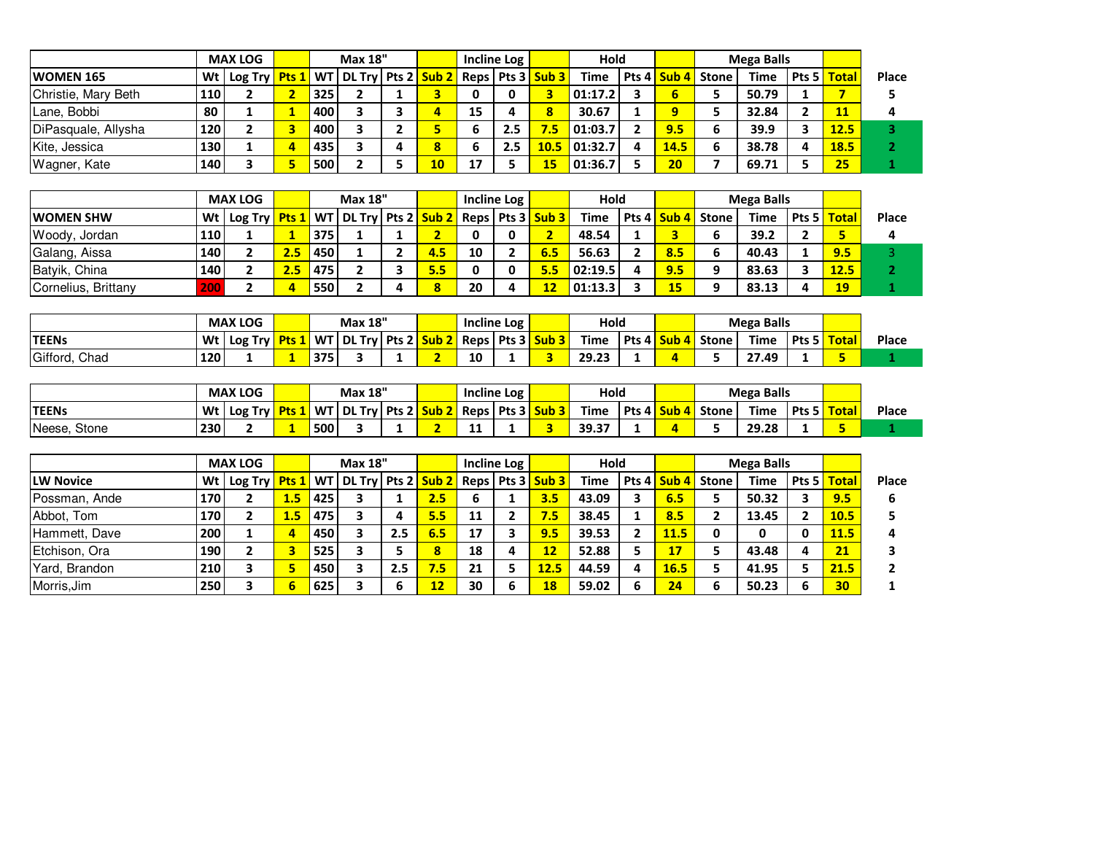|                     |     | <b>MAX LOG</b><br>Wt   Log Try <mark>  Pts 1  </mark> WT   DL Try   Pts 2 <mark>  Sub 2  </mark> |   |     | <b>Max 18"</b> |    |    | Incline Log |                      | <b>Hold</b> |              |               |       | <b>Mega Balls</b> |               |       |
|---------------------|-----|--------------------------------------------------------------------------------------------------|---|-----|----------------|----|----|-------------|----------------------|-------------|--------------|---------------|-------|-------------------|---------------|-------|
| <b>WOMEN 165</b>    |     |                                                                                                  |   |     |                |    |    |             | Reps   Pts 3   Sub 3 | <b>Time</b> |              | Pts 4   Sub 4 | Stone | <b>Time</b>       | Pts 5   Total | Place |
| Christie, Mary Beth | 110 |                                                                                                  |   | 325 |                |    |    |             |                      | 01:17.2     |              |               |       | 50.79             |               |       |
| Lane, Bobbi         | 80  |                                                                                                  |   | 400 |                | д  | 15 |             | 8                    | 30.67       |              |               |       | 32.84             |               |       |
| DiPasquale, Allysha | 120 |                                                                                                  |   | 400 |                |    |    | 2.5         | 7.5                  | 01:03.7     |              | 9.5           | ь     | 39.9              | 12.5          |       |
| Kite, Jessica       | 130 |                                                                                                  |   | 435 |                |    |    | 2.5         | 10.5                 | 01:32.7     | $\mathbf{A}$ | 14.5          | 6     | 38.78             | 18.5          |       |
| Wagner, Kate        | 140 |                                                                                                  | 5 | 500 |                | 10 | 17 |             | 15                   | 01:36.7     |              | 20            |       | 69.71             | 25            |       |

|                     |      | <b>MAX LOG</b>                                                                                                     |     |     | <b>Max 18"</b> |     |    | Incline Log |     | Hold    |   |     |                                      | <b>Mega Balls</b> |                            |       |
|---------------------|------|--------------------------------------------------------------------------------------------------------------------|-----|-----|----------------|-----|----|-------------|-----|---------|---|-----|--------------------------------------|-------------------|----------------------------|-------|
| <b>IWOMEN SHW</b>   |      | Wt   Log Try <mark>  Pts 1  </mark> WT   DL Try   Pts 2 <mark>  Sub 2  </mark> Reps   Pts 3 <mark>  Sub 3  </mark> |     |     |                |     |    |             |     | Time    |   |     | l Pts 4 <mark>l Sub 4 l</mark> Stone | Time              | Pts 5 <mark>  Total</mark> | Place |
| Woody, Jordan       | 110  |                                                                                                                    |     | 375 |                |     |    |             |     | 48.54   |   |     |                                      | 39.2              |                            |       |
| Galang, Aissa       | 140  |                                                                                                                    | 2.5 | 450 |                | 4.5 | 10 |             | 6.5 | 56.63   |   | 8.5 |                                      | 40.43             | 9.5                        |       |
| Batyik, China       | 140  |                                                                                                                    |     | 475 |                | 5.5 |    |             | 5.5 | 02:19.5 | Δ | 9.5 | Ω                                    | 83.63             | 12.5                       |       |
| Cornelius, Brittany | /20U |                                                                                                                    |     | 550 |                |     | 20 |             |     | 01:13.3 |   | 15  | Ω                                    | 83.13             | 19                         |       |

|                  |     | <b>MAX LOG</b> |     | <b>Max 18"</b>                                                                                |  |     |    | <b>Incline Log</b> | Hold  |                          |              | <b>Mega Balls</b> |                              |       |
|------------------|-----|----------------|-----|-----------------------------------------------------------------------------------------------|--|-----|----|--------------------|-------|--------------------------|--------------|-------------------|------------------------------|-------|
| <b>TEENs</b>     | Wt  | Log Try        |     | <b>Pts 1   WT   DL Try   Pts 2 <mark>  Sub 2  </mark> Reps   Pts 3 <mark>  Sub 3  </mark></b> |  |     |    |                    | Time  | Pts 4 <mark>  Sub</mark> | <b>Stone</b> | Time              | Pts 5 <mark>  Total  </mark> | Place |
| Gifford,<br>Chad | 120 |                | 375 |                                                                                               |  | . . | 10 |                    | 29.23 |                          |              | $\sim$<br>27.49   | -                            |       |

|                 |     | <b>MAX LOG</b> |                         |     | <b>Max 18"</b> |       |                             |    | Incline Log |                  | Hold  |       |                  |       | <b>Mega Balls</b> |       |              |              |
|-----------------|-----|----------------|-------------------------|-----|----------------|-------|-----------------------------|----|-------------|------------------|-------|-------|------------------|-------|-------------------|-------|--------------|--------------|
| <b>TEENs</b>    | Wt  | Log Try        | <mark>Pts 1</mark> WT l |     | <b>DL Try</b>  | Pts 2 | <mark>  Sub 2  </mark> Reps |    | Pts 3       | Sub <sub>3</sub> | Time  | Pts 4 | <b>Sub</b><br>л. | Stone | Time              | Pts 5 | <b>Total</b> | <b>Place</b> |
| Neese,<br>Stone | 230 |                |                         | 500 |                |       |                             | -- |             |                  | 39.37 |       |                  |       | 29.28             |       |              |              |

|                  |     | <b>MAX LOG</b>                                   |     |     | <b>Max 18"</b> |     |     |    | <b>Incline Log</b> |       | Hold        |   |             |                                    | Mega Balls  |       |              |       |
|------------------|-----|--------------------------------------------------|-----|-----|----------------|-----|-----|----|--------------------|-------|-------------|---|-------------|------------------------------------|-------------|-------|--------------|-------|
| <b>LW Novice</b> | Wt  | Log Try <mark>Pts 1</mark> WT DL Try Pts 2 Sub 2 |     |     |                |     |     |    | Reps   Pts 3       | Sub 3 | <b>Time</b> |   |             | Pts 4 <mark>  Sub 4  </mark> Stone | <b>Time</b> | Pts 5 | <b>Total</b> | Place |
| Possman, Ande    | 170 |                                                  | 1.5 | 425 | 3              |     | 2.5 |    |                    | 3.5   | 43.09       |   | 6.5         |                                    | 50.32       |       | 9.5          | 6     |
| Abbot, Tom       | 170 |                                                  | 1.5 | 475 |                |     | 5.5 | 11 |                    | 7.5   | 38.45       |   | 8.5         |                                    | 13.45       |       | 10.5         |       |
| Hammett, Dave    | 200 |                                                  | 4   | 450 |                | 2.5 | 6.5 | 17 |                    | 9.5   | 39.53       |   | 11.5        | 0                                  | 0           |       | <b>11.5</b>  |       |
| Etchison, Ora    | 190 |                                                  | з   | 525 |                |     | 8   | 18 |                    | 12    | 52.88       |   | 17          |                                    | 43.48       |       | 21           |       |
| Yard, Brandon    | 210 | 3                                                | 5   | 450 | 3              | 2.5 | 7.5 | 21 |                    | 12.5  | 44.59       | 4 | <b>16.5</b> |                                    | 41.95       |       | 21.5         |       |
| Morris, Jim      | 250 |                                                  | 6   | 625 |                |     | 12  | 30 | ь                  | 18    | 59.02       |   | 24          | 6                                  | 50.23       |       | 30           |       |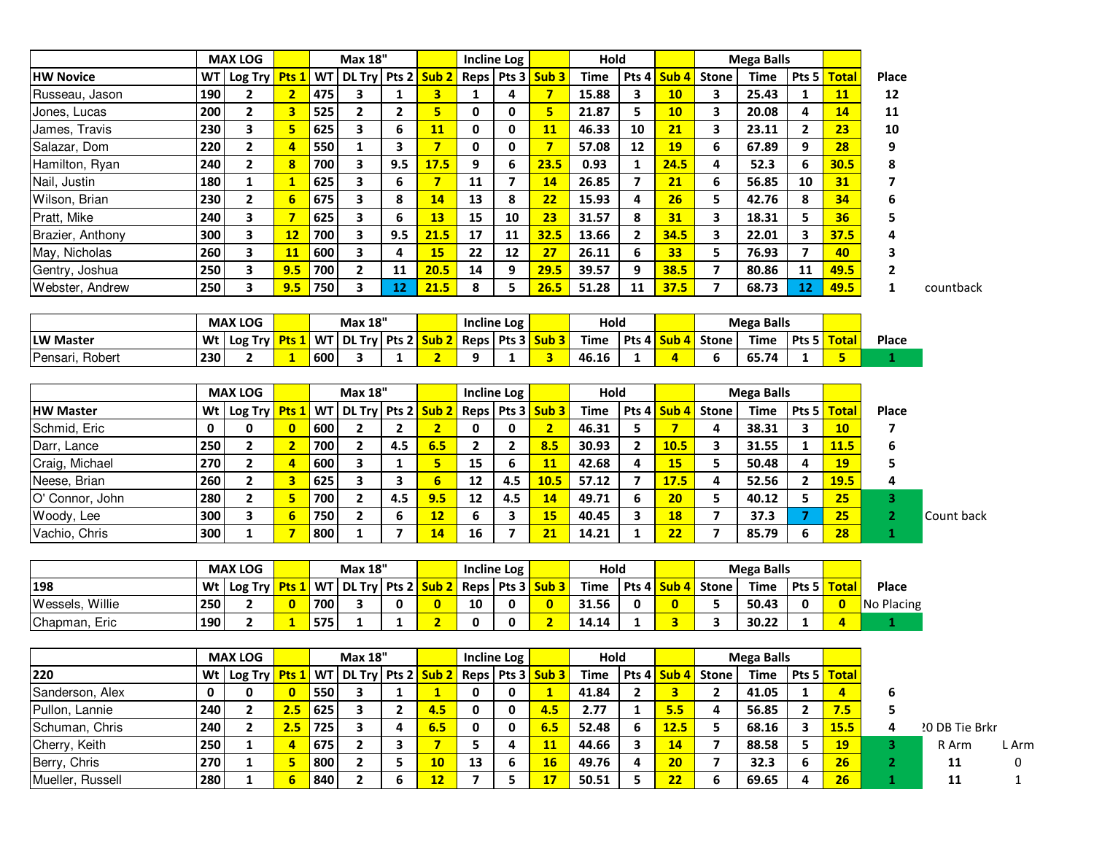|                  |      | <b>MAX LOG</b>                                                            |                         |           | <b>Max 18"</b>                                   |                         |                         |                | <b>Incline Log</b>      |                         | Hold        |                |                         |                         | <b>Mega Balls</b> |                  |                |                   |                |              |
|------------------|------|---------------------------------------------------------------------------|-------------------------|-----------|--------------------------------------------------|-------------------------|-------------------------|----------------|-------------------------|-------------------------|-------------|----------------|-------------------------|-------------------------|-------------------|------------------|----------------|-------------------|----------------|--------------|
| <b>HW Novice</b> | WT I | Log Try                                                                   | Pts 1                   | WT        | DL Try Pts 2                                     |                         | Sub <sub>2</sub>        | Reps           | Pts 3                   | Sub <sub>3</sub>        | <b>Time</b> | Pts 4          | Sub <sub>4</sub>        | <b>Stone</b>            | <b>Time</b>       | Pts <sub>5</sub> | <b>Total</b>   | Place             |                |              |
| Russeau, Jason   | 190  | $\overline{2}$                                                            | $\overline{2}$          | 475       | 3                                                | $\mathbf{1}$            | $\overline{\mathbf{3}}$ | $\mathbf{1}$   | 4                       | $\overline{7}$          | 15.88       | 3              | 10                      | 3                       | 25.43             | $\mathbf{1}$     | <b>11</b>      | 12                |                |              |
| Jones, Lucas     | 200  | $\overline{2}$                                                            | 3                       | 525       | $\overline{\mathbf{2}}$                          | $\mathbf{2}$            | 5                       | 0              | 0                       | 5                       | 21.87       | 5              | 10                      | $\overline{\mathbf{3}}$ | 20.08             | 4                | 14             | 11                |                |              |
| James, Travis    | 230  | 3                                                                         | 5                       | 625       | 3                                                | 6                       | 11                      | 0              | 0                       | <b>11</b>               | 46.33       | 10             | 21                      | 3                       | 23.11             | $\mathbf{2}$     | 23             | 10                |                |              |
| Salazar, Dom     | 220  | $\overline{2}$                                                            | 4                       | 550       | $\mathbf{1}$                                     | 3                       | $\overline{7}$          | 0              | $\mathbf 0$             | $\overline{\mathbf{z}}$ | 57.08       | 12             | 19                      | 6                       | 67.89             | 9                | 28             | 9                 |                |              |
| Hamilton, Ryan   | 240  | $\overline{2}$                                                            | $\overline{\mathbf{8}}$ | 700       | 3                                                | 9.5                     | 17.5                    | 9              | 6                       | 23.5                    | 0.93        | 1              | 24.5                    | 4                       | 52.3              | 6                | 30.5           | 8                 |                |              |
| Nail, Justin     | 180  | 1                                                                         | 1                       | 625       | 3                                                | 6                       | $\overline{7}$          | 11             | $\overline{\mathbf{z}}$ | 14                      | 26.85       | $\overline{ }$ | 21                      | 6                       | 56.85             | 10               | 31             | 7                 |                |              |
| Wilson, Brian    | 230  | $\overline{2}$                                                            | 6                       | 675       | 3                                                | 8                       | 14                      | 13             | 8                       | 22                      | 15.93       | 4              | 26                      | 5                       | 42.76             | 8                | 34             | 6                 |                |              |
| Pratt, Mike      | 240  | 3                                                                         | 7                       | 625       | 3                                                | 6                       | <b>13</b>               | 15             | 10                      | 23                      | 31.57       | 8              | 31                      | 3                       | 18.31             | 5                | 36             | 5                 |                |              |
| Brazier, Anthony | 300  | 3                                                                         | 12                      | 700       | 3                                                | 9.5                     | 21.5                    | 17             | 11                      | 32.5                    | 13.66       | $\mathbf{2}$   | 34.5                    | 3                       | 22.01             | 3                | 37.5           |                   |                |              |
| May, Nicholas    | 260  | 3                                                                         | <b>11</b>               | 600       | 3                                                | 4                       | <b>15</b>               | 22             | 12                      | 27                      | 26.11       | 6              | 33                      | 5                       | 76.93             | 7                | 40             |                   |                |              |
| Gentry, Joshua   | 250  | $\mathbf{3}$                                                              | 9.5                     | 700       | $\overline{2}$                                   | 11                      | 20.5                    | 14             | 9                       | 29.5                    | 39.57       | 9              | 38.5                    | $\overline{7}$          | 80.86             | 11               | 49.5           | $\mathbf{2}$      |                |              |
| Webster, Andrew  | 250  | 3                                                                         | 9.5                     | 750       | 3                                                | 12                      | 21.5                    | 8              | 5                       | 26.5                    | 51.28       | 11             | 37.5                    | $\overline{7}$          | 68.73             | 12               | 49.5           | $\mathbf{1}$      | countback      |              |
|                  |      |                                                                           |                         |           |                                                  |                         |                         |                |                         |                         |             |                |                         |                         |                   |                  |                |                   |                |              |
|                  |      | <b>MAX LOG</b>                                                            |                         |           | <b>Max 18"</b>                                   |                         |                         |                | <b>Incline Log</b>      |                         | Hold        |                |                         |                         | <b>Mega Balls</b> |                  |                |                   |                |              |
| <b>LW Master</b> |      | Wt   Log Try                                                              | Pts1                    | <b>WT</b> | DL Try Pts 2                                     |                         | Sub <sub>2</sub>        |                |                         | Reps Pts 3 Sub 3        | <b>Time</b> |                | Pts 4 Sub 4             | <b>Stone</b>            | <b>Time</b>       | Pts <sub>5</sub> | <b>Total</b>   | Place             |                |              |
| Pensari, Robert  | 230  | $\overline{\mathbf{2}}$                                                   | $\mathbf{1}$            | 600       | 3                                                | 1                       | $\overline{2}$          | 9              | 1                       | $\overline{\mathbf{3}}$ | 46.16       | 1              | $\overline{a}$          | 6                       | 65.74             | 1                | 5              | $\mathbf{1}$      |                |              |
|                  |      |                                                                           |                         |           |                                                  |                         |                         |                |                         |                         |             |                |                         |                         |                   |                  |                |                   |                |              |
|                  |      | <b>MAX LOG</b>                                                            |                         |           | Max 18"                                          |                         |                         |                | <b>Incline Log</b>      |                         | Hold        |                |                         |                         | <b>Mega Balls</b> |                  |                |                   |                |              |
| <b>HW Master</b> | Wt   | Log Try                                                                   | Pts <sub>1</sub>        | <b>WT</b> | <b>DL Try</b>                                    |                         | Pts 2 Sub 2             | Reps           |                         | Pts 3 Sub 3             | <b>Time</b> | Pts 4          | Sub <sub>4</sub>        | <b>Stone</b>            | <b>Time</b>       | Pts <sub>5</sub> | <b>Total</b>   | Place             |                |              |
| Schmid, Eric     | 0    | 0                                                                         | $\mathbf{0}$            | 600       | $\overline{2}$                                   | $\overline{2}$          | $\overline{2}$          | 0              | 0                       | 2 <sub>1</sub>          | 46.31       | 5              | $7\overline{ }$         | 4                       | 38.31             | 3                | 10             | 7                 |                |              |
| Darr, Lance      | 250  | $\mathbf{2}$                                                              | $\overline{2}$          | 700       | $\overline{2}$                                   | 4.5                     | 6.5                     | $\overline{2}$ | $\overline{2}$          | 8.5                     | 30.93       | $\overline{2}$ | 10.5                    | 3                       | 31.55             | 1                | <b>11.5</b>    | 6                 |                |              |
| Craig, Michael   | 270  | $\overline{2}$                                                            | 4                       | 600       | 3                                                | 1                       | 5                       | 15             | 6                       | <b>11</b>               | 42.68       | 4              | 15                      | 5                       | 50.48             | 4                | <b>19</b>      | 5                 |                |              |
| Neese, Brian     | 260  | $\overline{2}$                                                            | 3                       | 625       | 3                                                | 3                       | 6                       | 12             | 4.5                     | 10.5                    | 57.12       | $\overline{ }$ | 17.5                    | 4                       | 52.56             | $\mathbf{2}$     | <b>19.5</b>    | 4                 |                |              |
| O' Connor, John  | 280  | $\overline{2}$                                                            | 5                       | 700       | $\overline{2}$                                   | 4.5                     | 9.5                     | 12             | 4.5                     | 14                      | 49.71       | 6              | 20                      | 5                       | 40.12             | 5                | 25             | 3                 |                |              |
| Woody, Lee       | 300  | 3                                                                         | 6                       | 750       | $\overline{2}$                                   | 6                       | 12                      | 6              | 3                       | <b>15</b>               | 40.45       | 3              | <b>18</b>               | $\overline{\mathbf{z}}$ | 37.3              | 7                | 25             | 2                 | Count back     |              |
| Vachio, Chris    | 300  | $\mathbf{1}$                                                              | 7                       | 800       | 1                                                | $\overline{\mathbf{z}}$ | <b>14</b>               | 16             | $\overline{7}$          | 21                      | 14.21       | $\mathbf{1}$   | 22                      | $\overline{7}$          | 85.79             | 6                | 28             | 1                 |                |              |
|                  |      |                                                                           |                         |           |                                                  |                         |                         |                |                         |                         |             |                |                         |                         |                   |                  |                |                   |                |              |
|                  |      | <b>MAX LOG</b>                                                            |                         |           | Max 18"                                          |                         |                         |                | <b>Incline Log</b>      |                         | Hold        |                |                         |                         | <b>Mega Balls</b> |                  |                |                   |                |              |
| 198              |      | Wt   Log Try                                                              |                         |           | Pts 1   WT   DL Try   Pts 2 <mark>  Sub 2</mark> |                         |                         |                |                         | Reps Pts 3 Sub 3        | <b>Time</b> |                | Pts 4 Sub 4             | <b>Stone</b>            | <b>Time</b>       | Pts <sub>5</sub> | <b>Total</b>   | Place             |                |              |
| Wessels, Willie  | 250  | $\mathbf{2}$                                                              | $\mathbf{0}$            | 700       | 3                                                | 0                       | $\mathbf{0}$            | 10             | 0                       | $\overline{0}$          | 31.56       | 0              | $\overline{\mathbf{0}}$ | 5                       | 50.43             | 0                | $\mathbf{0}$   | <b>No Placing</b> |                |              |
| Chapman, Eric    | 190  | $\overline{2}$                                                            | $\mathbf{1}$            | 575       | $\mathbf{1}$                                     | $\mathbf{1}$            | $\overline{2}$          | 0              | 0                       | $\overline{2}$          | 14.14       | 1              | 3 <sup>1</sup>          | 3                       | 30.22             | $\mathbf{1}$     | $\overline{4}$ | $\mathbf{1}$      |                |              |
|                  |      | <b>MAX LOG</b>                                                            |                         |           | <b>Max 18"</b>                                   |                         |                         |                | <b>Incline Log</b>      |                         | Hold        |                |                         |                         | <b>Mega Balls</b> |                  |                |                   |                |              |
| 220              |      | Wt   Log Try   Pts 1   WT   DL Try   Pts 2   Sub 2   Reps   Pts 3   Sub 3 |                         |           |                                                  |                         |                         |                |                         |                         | Time        |                |                         | Pts 4 Sub 4 Stone       | Time              |                  | Pts 5 Total    |                   |                |              |
| Sanderson, Alex  | 0    | $\mathbf 0$                                                               | $\mathbf{0}$            | 550       | $\overline{\mathbf{3}}$                          | $\mathbf{1}$            | $\mathbf{1}$            | 0              | 0                       | $\mathbf{1}$            | 41.84       | $\mathbf{2}$   | 3 <sup>1</sup>          | $\mathbf{2}$            | 41.05             | $\mathbf{1}$     | $\overline{4}$ | 6                 |                |              |
| Pullon, Lannie   | 240  | $\overline{2}$                                                            | 2.5                     | 625       | 3                                                | $\overline{2}$          | 4.5                     | 0              | 0                       | 4.5                     | 2.77        | $\mathbf{1}$   | 5.5                     | 4                       | 56.85             | $\mathbf{2}$     | 7.5            | 5                 |                |              |
| Schuman, Chris   | 240  | $\mathbf{2}$                                                              | 2.5                     | 725       | 3                                                | 4                       | 6.5                     | 0              | 0                       | 6.5                     | 52.48       | 6              | <b>12.5</b>             | 5                       | 68.16             | 3                | 15.5           | 4                 | 20 DB Tie Brkr |              |
| Cherry, Keith    | 250  | $\mathbf{1}$                                                              | $\overline{a}$          | 675       | $\overline{2}$                                   | 3                       | $\overline{7}$          | 5              | 4                       | <b>11</b>               | 44.66       | 3              | 14                      | $\overline{7}$          | 88.58             | 5                | <b>19</b>      | З.                | R Arm          | L Arm        |
| Berry, Chris     | 270  | $\mathbf{1}$                                                              | 5                       | 800       | $\overline{2}$                                   | 5                       | 10                      | 13             | 6                       | <b>16</b>               | 49.76       | 4              | 20                      | $\overline{\mathbf{z}}$ | 32.3              | 6                | 26             | 2                 | 11             | $\mathbf{0}$ |
| Mueller, Russell | 280  | $\mathbf{1}$                                                              | $6\phantom{1}$          | 840       | $\overline{2}$                                   | 6                       | 12                      | $\overline{7}$ | 5                       | 17                      | 50.51       | 5              | 22                      | 6                       | 69.65             | 4                | 26             | 1                 | 11             | $\mathbf{1}$ |
|                  |      |                                                                           |                         |           |                                                  |                         |                         |                |                         |                         |             |                |                         |                         |                   |                  |                |                   |                |              |